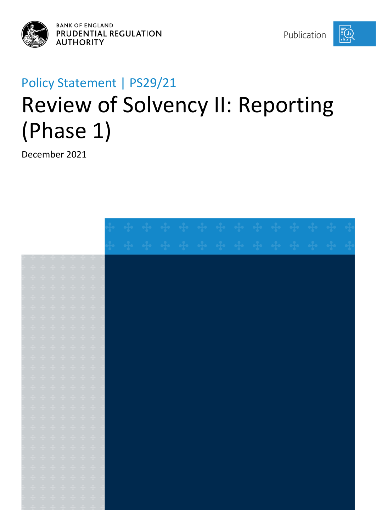

**BANK OF ENGLAND** PRUDENTIAL REGULATION **AUTHORITY** 

 $E(\mathbf{h})$ 

# Policy Statement | PS29/21 Review of Solvency II: Reporting (Phase 1)

December 2021

|  |  | 1. 2. 3. 4. 4. 4. 4.                                                                                                                                                                                                                                                                                                                                                                                                                                                                     |  |  |  |  |  |  |  |  |
|--|--|------------------------------------------------------------------------------------------------------------------------------------------------------------------------------------------------------------------------------------------------------------------------------------------------------------------------------------------------------------------------------------------------------------------------------------------------------------------------------------------|--|--|--|--|--|--|--|--|
|  |  | * * * * * * * *                                                                                                                                                                                                                                                                                                                                                                                                                                                                          |  |  |  |  |  |  |  |  |
|  |  | $\begin{aligned} \frac{1}{2} \mathbf{1} \quad & \frac{1}{2} \mathbf{1} \quad \frac{1}{2} \mathbf{1} \quad \frac{1}{2} \mathbf{1} \quad \frac{1}{2} \mathbf{1} \quad \frac{1}{2} \mathbf{1} \quad \frac{1}{2} \mathbf{1} \quad \frac{1}{2} \mathbf{1} \end{aligned}$                                                                                                                                                                                                                      |  |  |  |  |  |  |  |  |
|  |  |                                                                                                                                                                                                                                                                                                                                                                                                                                                                                          |  |  |  |  |  |  |  |  |
|  |  | $\begin{array}{cccccccccccccc} \mathbf{d}_1 & \mathbf{d}_2 & \mathbf{d}_3 & \mathbf{d}_4 & \mathbf{d}_5 & \mathbf{d}_7 & \mathbf{d}_8 & \mathbf{d}_7 \end{array}$                                                                                                                                                                                                                                                                                                                        |  |  |  |  |  |  |  |  |
|  |  | $\begin{array}{ccccccccccccc} \bullet\hspace{-0.08cm} &\bullet\hspace{-0.08cm} &\bullet\hspace{-0.08cm} &\bullet\hspace{-0.08cm} &\bullet\hspace{-0.08cm} &\bullet\hspace{-0.08cm} &\bullet\hspace{-0.08cm} &\bullet\hspace{-0.08cm} &\bullet\hspace{-0.08cm} &\bullet\hspace{-0.08cm} &\bullet\hspace{-0.08cm} &\bullet\hspace{-0.08cm} &\bullet\hspace{-0.08cm} &\bullet\hspace{-0.08cm} &\bullet\hspace{-0.08cm} &\bullet\hspace{-0.08cm} &\bullet$                                   |  |  |  |  |  |  |  |  |
|  |  | $\begin{array}{cccccccccccccc} \mathbf{+} & \mathbf{+} & \mathbf{+} & \mathbf{+} & \mathbf{+} & \mathbf{+} & \mathbf{+} & \mathbf{+} \end{array}$                                                                                                                                                                                                                                                                                                                                        |  |  |  |  |  |  |  |  |
|  |  | * * * * * * *                                                                                                                                                                                                                                                                                                                                                                                                                                                                            |  |  |  |  |  |  |  |  |
|  |  | $\frac{1}{2} \left( \begin{array}{ccc} \frac{1}{2} & \frac{1}{2} & \frac{1}{2} & \frac{1}{2} & \frac{1}{2} & \frac{1}{2} & \frac{1}{2} \\ \frac{1}{2} & \frac{1}{2} & \frac{1}{2} & \frac{1}{2} & \frac{1}{2} & \frac{1}{2} \\ \frac{1}{2} & \frac{1}{2} & \frac{1}{2} & \frac{1}{2} & \frac{1}{2} & \frac{1}{2} \\ \frac{1}{2} & \frac{1}{2} & \frac{1}{2} & \frac{1}{2} & \frac{1}{2} & \frac{1}{2} \\ \frac{$                                                                         |  |  |  |  |  |  |  |  |
|  |  | $\begin{array}{ccccccccccccc} \bullet\bullet\hspace{0.2cm}& \bullet\hspace{0.2cm}& \bullet\hspace{0.2cm}& \bullet\hspace{0.2cm}& \bullet\hspace{0.2cm}& \bullet\hspace{0.2cm}& \bullet\hspace{0.2cm}& \bullet\hspace{0.2cm}& \bullet\hspace{0.2cm}& \bullet\hspace{0.2cm}& \bullet\hspace{0.2cm}& \bullet\hspace{0.2cm}& \bullet\hspace{0.2cm}& \bullet\hspace{0.2cm}& \bullet\hspace{0.2cm}& \bullet\hspace{0.2cm}& \bullet\hspace{0.2cm}& \bullet\hspace{0.2cm}& \bullet\hspace{0.2cm$ |  |  |  |  |  |  |  |  |
|  |  |                                                                                                                                                                                                                                                                                                                                                                                                                                                                                          |  |  |  |  |  |  |  |  |
|  |  |                                                                                                                                                                                                                                                                                                                                                                                                                                                                                          |  |  |  |  |  |  |  |  |
|  |  | $\begin{array}{cccccccccccccc} \bullet\frac{1}{4} & \bullet\frac{1}{4} & \bullet\frac{1}{4} & \bullet\frac{1}{4} & \bullet\frac{1}{4} & \bullet\frac{1}{4} & \bullet\frac{1}{4} & \bullet\frac{1}{4} & \bullet\frac{1}{4} & \bullet\frac{1}{4} & \bullet\frac{1}{4} & \bullet\frac{1}{4} & \bullet\frac{1}{4} & \bullet\frac{1}{4} & \bullet\frac{1}{4} & \bullet\frac{1}{4} & \bullet\frac{1}{4} & \bullet\frac{1}{4} & \bullet\frac{1}{4} & \bullet\frac{1}{4} & \bullet\frac{1}{4} &$ |  |  |  |  |  |  |  |  |
|  |  | *******                                                                                                                                                                                                                                                                                                                                                                                                                                                                                  |  |  |  |  |  |  |  |  |
|  |  | * * * * * * *                                                                                                                                                                                                                                                                                                                                                                                                                                                                            |  |  |  |  |  |  |  |  |
|  |  | $\begin{aligned} \frac{\partial}{\partial t} \mathbf{r} & = \frac{\partial}{\partial t} \mathbf{r} & = \frac{\partial}{\partial t} \mathbf{r} & = \frac{\partial}{\partial t} \mathbf{r} & = \frac{\partial}{\partial t} \mathbf{r} & = \frac{\partial}{\partial t} \mathbf{r} \end{aligned}$                                                                                                                                                                                            |  |  |  |  |  |  |  |  |
|  |  |                                                                                                                                                                                                                                                                                                                                                                                                                                                                                          |  |  |  |  |  |  |  |  |
|  |  | *******                                                                                                                                                                                                                                                                                                                                                                                                                                                                                  |  |  |  |  |  |  |  |  |
|  |  | $\begin{array}{ccccccccccccc} \mathbf{+} & \mathbf{+} & \mathbf{+} & \mathbf{+} & \mathbf{+} & \mathbf{+} & \mathbf{+} & \mathbf{+} \end{array}$                                                                                                                                                                                                                                                                                                                                         |  |  |  |  |  |  |  |  |
|  |  | $\begin{array}{ccccccccccccc} \bullet\frac{1}{4} & \bullet\frac{1}{4} & \bullet\frac{1}{4} & \bullet\frac{1}{4} & \bullet\frac{1}{4} & \bullet\frac{1}{4} & \bullet\frac{1}{4} & \bullet\frac{1}{4} & \bullet\frac{1}{4} & \bullet\frac{1}{4} & \bullet\frac{1}{4} & \bullet\frac{1}{4} & \bullet\frac{1}{4} & \bullet\frac{1}{4} & \bullet\frac{1}{4} & \bullet\frac{1}{4} & \bullet\frac{1}{4} & \bullet\frac{1}{4} & \bullet\frac{1}{4} & \bullet\frac{1}{4} & \bullet\frac{1}{4} &$  |  |  |  |  |  |  |  |  |
|  |  |                                                                                                                                                                                                                                                                                                                                                                                                                                                                                          |  |  |  |  |  |  |  |  |
|  |  | <del>† † † † † † †</del>                                                                                                                                                                                                                                                                                                                                                                                                                                                                 |  |  |  |  |  |  |  |  |
|  |  | $\begin{array}{ccccccccccccc} \bullet\bullet\hspace{0.2cm}& \bullet\hspace{0.2cm}& \bullet\hspace{0.2cm}& \bullet\hspace{0.2cm}& \bullet\hspace{0.2cm}& \bullet\hspace{0.2cm}& \bullet\hspace{0.2cm}& \bullet\hspace{0.2cm}& \bullet\hspace{0.2cm}& \bullet\hspace{0.2cm}& \bullet\hspace{0.2cm}& \bullet\hspace{0.2cm}& \bullet\hspace{0.2cm}& \bullet\hspace{0.2cm}& \bullet\hspace{0.2cm}& \bullet\hspace{0.2cm}& \bullet\hspace{0.2cm}& \bullet\hspace{0.2cm}& \bullet\hspace{0.2cm$ |  |  |  |  |  |  |  |  |
|  |  |                                                                                                                                                                                                                                                                                                                                                                                                                                                                                          |  |  |  |  |  |  |  |  |
|  |  |                                                                                                                                                                                                                                                                                                                                                                                                                                                                                          |  |  |  |  |  |  |  |  |
|  |  | of the offer of the offer of the selection                                                                                                                                                                                                                                                                                                                                                                                                                                               |  |  |  |  |  |  |  |  |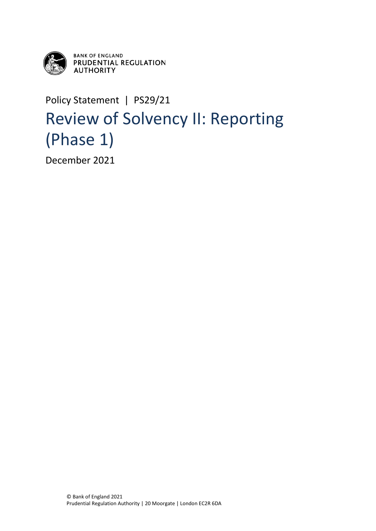

**BANK OF ENGLAND** PRUDENTIAL REGULATION **AUTHORITY** 

## Policy Statement | PS29/21 Review of Solvency II: Reporting (Phase 1)

December 2021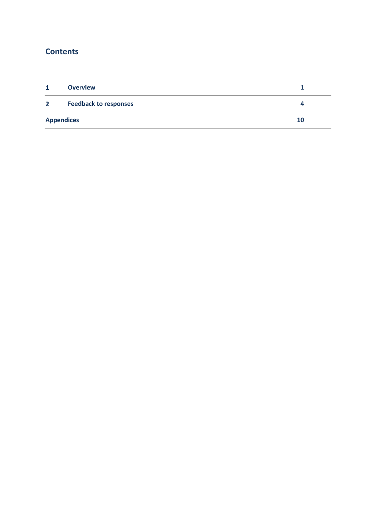### **Contents**

| $\mathbf{1}$   | <b>Overview</b>              |    |
|----------------|------------------------------|----|
| 2 <sup>1</sup> | <b>Feedback to responses</b> |    |
|                | <b>Appendices</b>            | 10 |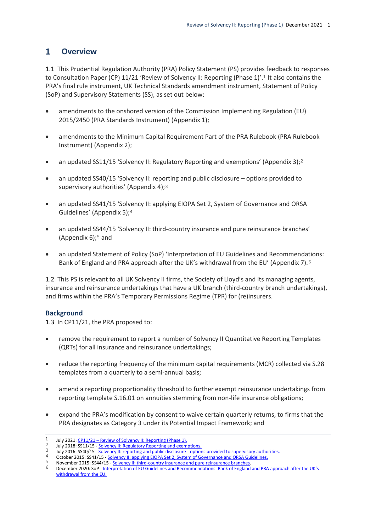#### <span id="page-3-0"></span> $\mathbf{1}$ **Overview**

1.1 This Prudential Regulation Authority (PRA) Policy Statement (PS) provides feedback to responses to Consultation Paper (CP) 11/21 'Review of Solvency II: Reporting (Phase 1)'.1 It also contains the PRA's final rule instrument, UK Technical Standards amendment instrument, Statement of Policy (SoP) and Supervisory Statements (SS), as set out below:

- amendments to the onshored version of the Commission Implementing Regulation (EU) 2015/2450 (PRA Standards Instrument) (Appendix 1);
- amendments to the Minimum Capital Requirement Part of the PRA Rulebook (PRA Rulebook Instrument) (Appendix 2);
- an updated SS11/15 'Solvency II: Regulatory Reporting and exemptions' (Appendix 3);  $2$
- an updated SS40/15 'Solvency II: reporting and public disclosure options provided to supervisory authorities' (Appendix 4);<sup>3</sup>
- an updated SS41/15 'Solvency II: applying EIOPA Set 2, System of Governance and ORSA Guidelines' (Appendix 5);4
- an updated SS44/15 'Solvency II: third-country insurance and pure reinsurance branches' (Appendix 6);5 and
- an updated Statement of Policy (SoP) 'Interpretation of EU Guidelines and Recommendations: Bank of England and PRA approach after the UK's withdrawal from the EU' (Appendix 7).6

1.2 This PS is relevant to all UK Solvency II firms, the Society of Lloyd's and its managing agents, insurance and reinsurance undertakings that have a UK branch (third-country branch undertakings), and firms within the PRA's Temporary Permissions Regime (TPR) for (re)insurers.

#### **Background**

1.3 In CP11/21, the PRA proposed to:

- remove the requirement to report a number of Solvency II Quantitative Reporting Templates (QRTs) for all insurance and reinsurance undertakings;
- reduce the reporting frequency of the minimum capital requirements (MCR) collected via S.28 templates from a quarterly to a semi-annual basis;
- amend a reporting proportionality threshold to further exempt reinsurance undertakings from reporting template S.16.01 on annuities stemming from non-life insurance obligations;
- expand the PRA's modification by consent to waive certain quarterly returns, to firms that the PRA designates as Category 3 under its Potential Impact Framework; and

October 2015: SS41/15 - [Solvency II: applying EIOPA Set 2, System of Governance and ORSA Guidelines.](https://www.bankofengland.co.uk/prudential-regulation/publication/2015/solvency2-applying-eiopa-set2-system-of-governance-and-orsa-guidelines-ss)

 $\mathbf{1}$ 1 July 2021:  $\frac{CP11/21 - Review of Solvency II: Reporting (Phase 1)}{2}$ 

<sup>&</sup>lt;sup>2</sup> July 2018: SS11/15 - <u>[Solvency II: Regulatory Reporting and exemptions.](https://www.bankofengland.co.uk/prudential-regulation/publication/2015/solvency2-regulatory-reporting-and-exemptions-ss)</u><br> $\frac{3}{2}$  July 2016: SS40/15 - Solvency II: reporting and public disclosure, entire

July 2016: SS40/15 - [Solvency II: reporting and public disclosure -](https://www.bankofengland.co.uk/prudential-regulation/publication/2015/solvency2-reporting-and-public-disclosure-options-provided-to-supervisory-authorities-ss) options provided to supervisory authorities.

November 2015: SS44/15 - [Solvency II: third-country insurance and pure reinsurance branches.](https://www.bankofengland.co.uk/prudential-regulation/publication/2015/solvency2-third-country-insurance-and-pure-reinsurance-branches-ss)

<sup>6</sup> December 2020: SoP - [Interpretation of EU Guidelines and Recommendations: Bank of England and PRA approach after the UK's](https://www.bankofengland.co.uk/paper/2019/interpretation-of-eu-guidelines-and-recommendations-boe-and-pra-approach-sop)  [withdrawal from the EU.](https://www.bankofengland.co.uk/paper/2019/interpretation-of-eu-guidelines-and-recommendations-boe-and-pra-approach-sop)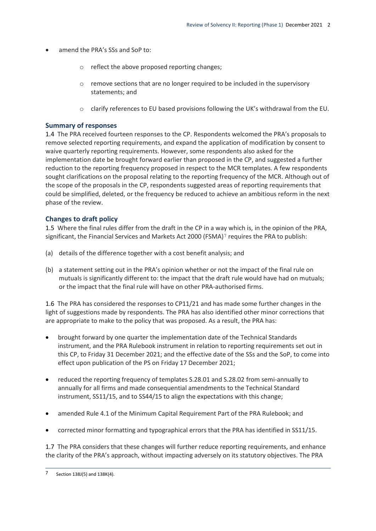- amend the PRA's SSs and SoP to:
	- o reflect the above proposed reporting changes;
	- o remove sections that are no longer required to be included in the supervisory statements; and
	- o clarify references to EU based provisions following the UK's withdrawal from the EU.

#### **Summary of responses**

1.4 The PRA received fourteen responses to the CP. Respondents welcomed the PRA's proposals to remove selected reporting requirements, and expand the application of modification by consent to waive quarterly reporting requirements. However, some respondents also asked for the implementation date be brought forward earlier than proposed in the CP, and suggested a further reduction to the reporting frequency proposed in respect to the MCR templates. A few respondents sought clarifications on the proposal relating to the reporting frequency of the MCR. Although out of the scope of the proposals in the CP, respondents suggested areas of reporting requirements that could be simplified, deleted, or the frequency be reduced to achieve an ambitious reform in the next phase of the review.

#### **Changes to draft policy**

1.5 Where the final rules differ from the draft in the CP in a way which is, in the opinion of the PRA, significant, the Financial Services and Markets Act 2000 (FSMA)<sup>7</sup> requires the PRA to publish:

- (a) details of the difference together with a cost benefit analysis; and
- (b) a statement setting out in the PRA's opinion whether or not the impact of the final rule on mutuals is significantly different to: the impact that the draft rule would have had on mutuals; or the impact that the final rule will have on other PRA-authorised firms.

1.6 The PRA has considered the responses to CP11/21 and has made some further changes in the light of suggestions made by respondents. The PRA has also identified other minor corrections that are appropriate to make to the policy that was proposed. As a result, the PRA has:

- brought forward by one quarter the implementation date of the Technical Standards instrument, and the PRA Rulebook instrument in relation to reporting requirements set out in this CP, to Friday 31 December 2021; and the effective date of the SSs and the SoP, to come into effect upon publication of the PS on Friday 17 December 2021;
- reduced the reporting frequency of templates S.28.01 and S.28.02 from semi-annually to annually for all firms and made consequential amendments to the Technical Standard instrument, SS11/15, and to SS44/15 to align the expectations with this change;
- amended Rule 4.1 of the Minimum Capital Requirement Part of the PRA Rulebook; and
- corrected minor formatting and typographical errors that the PRA has identified in SS11/15.

1.7 The PRA considers that these changes will further reduce reporting requirements, and enhance the clarity of the PRA's approach, without impacting adversely on its statutory objectives. The PRA

 $\overline{7}$ Section 138J(5) and 138K(4).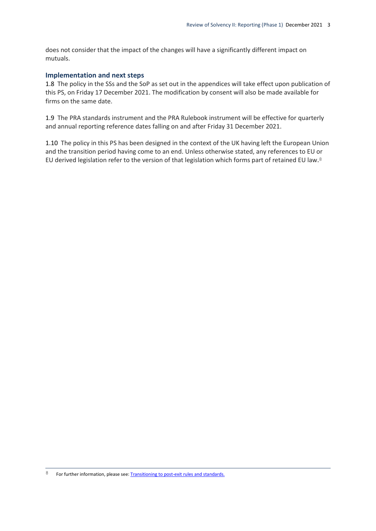does not consider that the impact of the changes will have a significantly different impact on mutuals.

#### **Implementation and next steps**

1.8 The policy in the SSs and the SoP as set out in the appendices will take effect upon publication of this PS, on Friday 17 December 2021. The modification by consent will also be made available for firms on the same date.

1.9 The PRA standards instrument and the PRA Rulebook instrument will be effective for quarterly and annual reporting reference dates falling on and after Friday 31 December 2021.

1.10 The policy in this PS has been designed in the context of the UK having left the European Union and the transition period having come to an end. Unless otherwise stated, any references to EU or EU derived legislation refer to the version of that legislation which forms part of retained EU law.8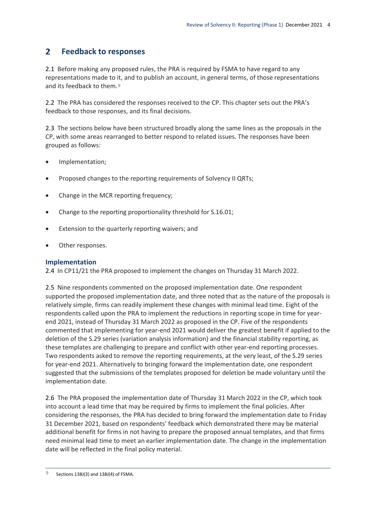#### <span id="page-6-0"></span> $2<sup>1</sup>$ **Feedback to responses**

2.1 Before making any proposed rules, the PRA is required by FSMA to have regard to any representations made to it, and to publish an account, in general terms, of those representations and its feedback to them.9

2.2 The PRA has considered the responses received to the CP. This chapter sets out the PRA's feedback to those responses, and its final decisions.

2.3 The sections below have been structured broadly along the same lines as the proposals in the CP, with some areas rearranged to better respond to related issues. The responses have been grouped as follows:

- Implementation;
- Proposed changes to the reporting requirements of Solvency II QRTs;
- Change in the MCR reporting frequency;
- Change to the reporting proportionality threshold for S.16.01;
- Extension to the quarterly reporting waivers; and
- Other responses.

#### **Implementation**

2.4 In CP11/21 the PRA proposed to implement the changes on Thursday 31 March 2022.

2.5 Nine respondents commented on the proposed implementation date. One respondent supported the proposed implementation date, and three noted that as the nature of the proposals is relatively simple, firms can readily implement these changes with minimal lead time. Eight of the respondents called upon the PRA to implement the reductions in reporting scope in time for yearend 2021, instead of Thursday 31 March 2022 as proposed in the CP. Five of the respondents commented that implementing for year-end 2021 would deliver the greatest benefit if applied to the deletion of the S.29 series (variation analysis information) and the financial stability reporting, as these templates are challenging to prepare and conflict with other year-end reporting processes. Two respondents asked to remove the reporting requirements, at the very least, of the S.29 series for year-end 2021. Alternatively to bringing forward the implementation date, one respondent suggested that the submissions of the templates proposed for deletion be made voluntary until the implementation date.

2.6 The PRA proposed the implementation date of Thursday 31 March 2022 in the CP, which took into account a lead time that may be required by firms to implement the final policies. After considering the responses, the PRA has decided to bring forward the implementation date to Friday 31 December 2021, based on respondents' feedback which demonstrated there may be material additional benefit for firms in not having to prepare the proposed annual templates, and that firms need minimal lead time to meet an earlier implementation date. The change in the implementation date will be reflected in the final policy material.

 $\circ$ 9 Sections 138J(3) and 138J(4) of FSMA.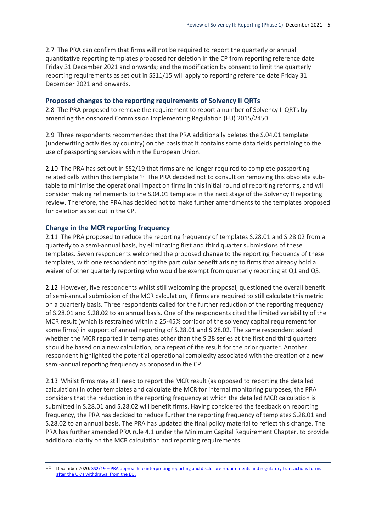2.7 The PRA can confirm that firms will not be required to report the quarterly or annual quantitative reporting templates proposed for deletion in the CP from reporting reference date Friday 31 December 2021 and onwards; and the modification by consent to limit the quarterly reporting requirements as set out in SS11/15 will apply to reporting reference date Friday 31 December 2021 and onwards.

#### **Proposed changes to the reporting requirements of Solvency II QRTs**

2.8 The PRA proposed to remove the requirement to report a number of Solvency II QRTs by amending the onshored Commission Implementing Regulation (EU) 2015/2450.

2.9 Three respondents recommended that the PRA additionally deletes the S.04.01 template (underwriting activities by country) on the basis that it contains some data fields pertaining to the use of passporting services within the European Union.

2.10 The PRA has set out in SS2/19 that firms are no longer required to complete passportingrelated cells within this template.10 The PRA decided not to consult on removing this obsolete subtable to minimise the operational impact on firms in this initial round of reporting reforms, and will consider making refinements to the S.04.01 template in the next stage of the Solvency II reporting review. Therefore, the PRA has decided not to make further amendments to the templates proposed for deletion as set out in the CP.

#### **Change in the MCR reporting frequency**

 $\overline{a}$ 

2.11 The PRA proposed to reduce the reporting frequency of templates S.28.01 and S.28.02 from a quarterly to a semi-annual basis, by eliminating first and third quarter submissions of these templates. Seven respondents welcomed the proposed change to the reporting frequency of these templates, with one respondent noting the particular benefit arising to firms that already hold a waiver of other quarterly reporting who would be exempt from quarterly reporting at Q1 and Q3.

2.12 However, five respondents whilst still welcoming the proposal, questioned the overall benefit of semi-annual submission of the MCR calculation, if firms are required to still calculate this metric on a quarterly basis. Three respondents called for the further reduction of the reporting frequency of S.28.01 and S.28.02 to an annual basis. One of the respondents cited the limited variability of the MCR result (which is restrained within a 25-45% corridor of the solvency capital requirement for some firms) in support of annual reporting of S.28.01 and S.28.02. The same respondent asked whether the MCR reported in templates other than the S.28 series at the first and third quarters should be based on a new calculation, or a repeat of the result for the prior quarter. Another respondent highlighted the potential operational complexity associated with the creation of a new semi-annual reporting frequency as proposed in the CP.

2.13 Whilst firms may still need to report the MCR result (as opposed to reporting the detailed calculation) in other templates and calculate the MCR for internal monitoring purposes, the PRA considers that the reduction in the reporting frequency at which the detailed MCR calculation is submitted in S.28.01 and S.28.02 will benefit firms. Having considered the feedback on reporting frequency, the PRA has decided to reduce further the reporting frequency of templates S.28.01 and S.28.02 to an annual basis. The PRA has updated the final policy material to reflect this change. The PRA has further amended PRA rule 4.1 under the Minimum Capital Requirement Chapter, to provide additional clarity on the MCR calculation and reporting requirements.

<sup>10</sup> December 2020: SS2/19 – PRA approach to interpreting reporting and disclosure requirements and regulatory transactions forms [after the UK's withdrawal from the EU.](https://www.bankofengland.co.uk/prudential-regulation/publication/2019/pra-approach-to-interpreting-reporting-and-disclosure-reqs-and-reg-trans-forms-ss)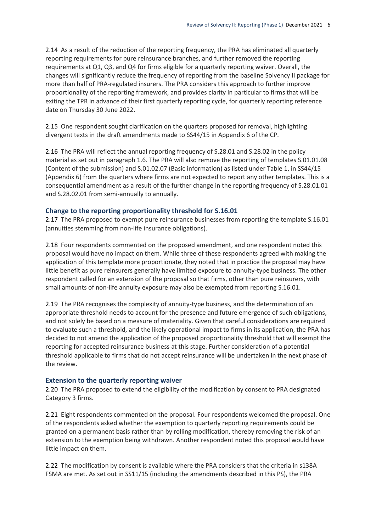2.14 As a result of the reduction of the reporting frequency, the PRA has eliminated all quarterly reporting requirements for pure reinsurance branches, and further removed the reporting requirements at Q1, Q3, and Q4 for firms eligible for a quarterly reporting waiver. Overall, the changes will significantly reduce the frequency of reporting from the baseline Solvency II package for more than half of PRA-regulated insurers. The PRA considers this approach to further improve proportionality of the reporting framework, and provides clarity in particular to firms that will be exiting the TPR in advance of their first quarterly reporting cycle, for quarterly reporting reference date on Thursday 30 June 2022.

2.15 One respondent sought clarification on the quarters proposed for removal, highlighting divergent texts in the draft amendments made to SS44/15 in Appendix 6 of the CP.

2.16 The PRA will reflect the annual reporting frequency of S.28.01 and S.28.02 in the policy material as set out in paragraph 1.6. The PRA will also remove the reporting of templates S.01.01.08 (Content of the submission) and S.01.02.07 (Basic information) as listed under Table 1, in SS44/15 (Appendix 6) from the quarters where firms are not expected to report any other templates. This is a consequential amendment as a result of the further change in the reporting frequency of S.28.01.01 and S.28.02.01 from semi-annually to annually.

#### **Change to the reporting proportionality threshold for S.16.01**

2.17 The PRA proposed to exempt pure reinsurance businesses from reporting the template S.16.01 (annuities stemming from non-life insurance obligations).

2.18 Four respondents commented on the proposed amendment, and one respondent noted this proposal would have no impact on them. While three of these respondents agreed with making the application of this template more proportionate, they noted that in practice the proposal may have little benefit as pure reinsurers generally have limited exposure to annuity-type business. The other respondent called for an extension of the proposal so that firms, other than pure reinsurers, with small amounts of non-life annuity exposure may also be exempted from reporting S.16.01.

2.19 The PRA recognises the complexity of annuity-type business, and the determination of an appropriate threshold needs to account for the presence and future emergence of such obligations, and not solely be based on a measure of materiality. Given that careful considerations are required to evaluate such a threshold, and the likely operational impact to firms in its application, the PRA has decided to not amend the application of the proposed proportionality threshold that will exempt the reporting for accepted reinsurance business at this stage. Further consideration of a potential threshold applicable to firms that do not accept reinsurance will be undertaken in the next phase of the review.

#### **Extension to the quarterly reporting waiver**

2.20 The PRA proposed to extend the eligibility of the modification by consent to PRA designated Category 3 firms.

2.21 Eight respondents commented on the proposal. Four respondents welcomed the proposal. One of the respondents asked whether the exemption to quarterly reporting requirements could be granted on a permanent basis rather than by rolling modification, thereby removing the risk of an extension to the exemption being withdrawn. Another respondent noted this proposal would have little impact on them.

2.22 The modification by consent is available where the PRA considers that the criteria in s138A FSMA are met. As set out in SS11/15 (including the amendments described in this PS), the PRA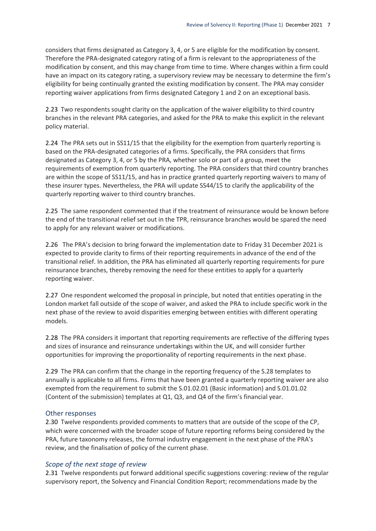considers that firms designated as Category 3, 4, or 5 are eligible for the modification by consent. Therefore the PRA-designated category rating of a firm is relevant to the appropriateness of the modification by consent, and this may change from time to time. Where changes within a firm could have an impact on its category rating, a supervisory review may be necessary to determine the firm's eligibility for being continually granted the existing modification by consent. The PRA may consider reporting waiver applications from firms designated Category 1 and 2 on an exceptional basis.

2.23 Two respondents sought clarity on the application of the waiver eligibility to third country branches in the relevant PRA categories, and asked for the PRA to make this explicit in the relevant policy material.

2.24 The PRA sets out in SS11/15 that the eligibility for the exemption from quarterly reporting is based on the PRA-designated categories of a firms. Specifically, the PRA considers that firms designated as Category 3, 4, or 5 by the PRA, whether solo or part of a group, meet the requirements of exemption from quarterly reporting. The PRA considers that third country branches are within the scope of SS11/15, and has in practice granted quarterly reporting waivers to many of these insurer types. Nevertheless, the PRA will update SS44/15 to clarify the applicability of the quarterly reporting waiver to third country branches.

2.25 The same respondent commented that if the treatment of reinsurance would be known before the end of the transitional relief set out in the TPR, reinsurance branches would be spared the need to apply for any relevant waiver or modifications.

2.26 The PRA's decision to bring forward the implementation date to Friday 31 December 2021 is expected to provide clarity to firms of their reporting requirements in advance of the end of the transitional relief. In addition, the PRA has eliminated all quarterly reporting requirements for pure reinsurance branches, thereby removing the need for these entities to apply for a quarterly reporting waiver.

2.27 One respondent welcomed the proposal in principle, but noted that entities operating in the London market fall outside of the scope of waiver, and asked the PRA to include specific work in the next phase of the review to avoid disparities emerging between entities with different operating models.

2.28 The PRA considers it important that reporting requirements are reflective of the differing types and sizes of insurance and reinsurance undertakings within the UK, and will consider further opportunities for improving the proportionality of reporting requirements in the next phase.

2.29 The PRA can confirm that the change in the reporting frequency of the S.28 templates to annually is applicable to all firms. Firms that have been granted a quarterly reporting waiver are also exempted from the requirement to submit the S.01.02.01 (Basic information) and S.01.01.02 (Content of the submission) templates at Q1, Q3, and Q4 of the firm's financial year.

#### Other responses

2.30 Twelve respondents provided comments to matters that are outside of the scope of the CP, which were concerned with the broader scope of future reporting reforms being considered by the PRA, future taxonomy releases, the formal industry engagement in the next phase of the PRA's review, and the finalisation of policy of the current phase.

#### *Scope of the next stage of review*

2.31 Twelve respondents put forward additional specific suggestions covering: review of the regular supervisory report, the Solvency and Financial Condition Report; recommendations made by the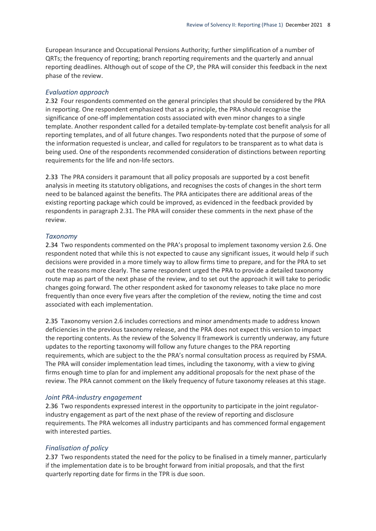European Insurance and Occupational Pensions Authority; further simplification of a number of QRTs; the frequency of reporting; branch reporting requirements and the quarterly and annual reporting deadlines. Although out of scope of the CP, the PRA will consider this feedback in the next phase of the review.

#### *Evaluation approach*

2.32 Four respondents commented on the general principles that should be considered by the PRA in reporting. One respondent emphasized that as a principle, the PRA should recognise the significance of one-off implementation costs associated with even minor changes to a single template. Another respondent called for a detailed template-by-template cost benefit analysis for all reporting templates, and of all future changes. Two respondents noted that the purpose of some of the information requested is unclear, and called for regulators to be transparent as to what data is being used. One of the respondents recommended consideration of distinctions between reporting requirements for the life and non-life sectors.

2.33 The PRA considers it paramount that all policy proposals are supported by a cost benefit analysis in meeting its statutory obligations, and recognises the costs of changes in the short term need to be balanced against the benefits. The PRA anticipates there are additional areas of the existing reporting package which could be improved, as evidenced in the feedback provided by respondents in paragraph 2.31. The PRA will consider these comments in the next phase of the review.

#### *Taxonomy*

2.34 Two respondents commented on the PRA's proposal to implement taxonomy version 2.6. One respondent noted that while this is not expected to cause any significant issues, it would help if such decisions were provided in a more timely way to allow firms time to prepare, and for the PRA to set out the reasons more clearly. The same respondent urged the PRA to provide a detailed taxonomy route map as part of the next phase of the review, and to set out the approach it will take to periodic changes going forward. The other respondent asked for taxonomy releases to take place no more frequently than once every five years after the completion of the review, noting the time and cost associated with each implementation.

2.35 Taxonomy version 2.6 includes corrections and minor amendments made to address known deficiencies in the previous taxonomy release, and the PRA does not expect this version to impact the reporting contents. As the review of the Solvency II framework is currently underway, any future updates to the reporting taxonomy will follow any future changes to the PRA reporting requirements, which are subject to the the PRA's normal consultation process as required by FSMA. The PRA will consider implementation lead times, including the taxonomy, with a view to giving firms enough time to plan for and implement any additional proposals for the next phase of the review. The PRA cannot comment on the likely frequency of future taxonomy releases at this stage.

#### *Joint PRA-industry engagement*

2.36 Two respondents expressed interest in the opportunity to participate in the joint regulatorindustry engagement as part of the next phase of the review of reporting and disclosure requirements. The PRA welcomes all industry participants and has commenced formal engagement with interested parties.

#### *Finalisation of policy*

2.37 Two respondents stated the need for the policy to be finalised in a timely manner, particularly if the implementation date is to be brought forward from initial proposals, and that the first quarterly reporting date for firms in the TPR is due soon.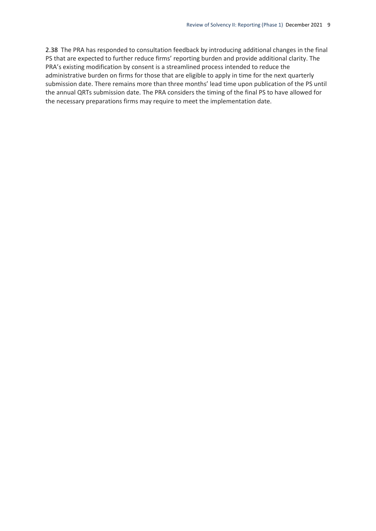2.38 The PRA has responded to consultation feedback by introducing additional changes in the final PS that are expected to further reduce firms' reporting burden and provide additional clarity. The PRA's existing modification by consent is a streamlined process intended to reduce the administrative burden on firms for those that are eligible to apply in time for the next quarterly submission date. There remains more than three months' lead time upon publication of the PS until the annual QRTs submission date. The PRA considers the timing of the final PS to have allowed for the necessary preparations firms may require to meet the implementation date.